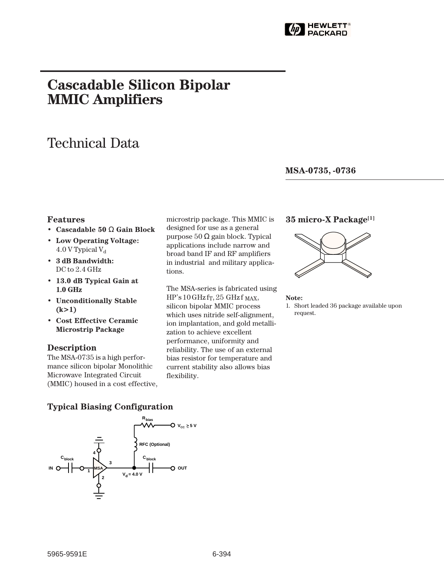

# **Cascadable Silicon Bipolar MMIC␣ Amplifiers**

# Technical Data

**MSA-0735, -0736**

### **Features**

- **Cascadable 50** Ω **Gain Block**
- **Low Operating Voltage:** 4.0 V Typical  $V_d$
- **3 dB Bandwidth:** DC to  $2.4$  GHz
- **13.0 dB Typical Gain at 1.0␣ GHz**
- **Unconditionally Stable (k>1)**
- **Cost Effective Ceramic Microstrip Package**

#### **Description**

The MSA-0735 is a high performance silicon bipolar Monolithic Microwave Integrated Circuit (MMIC) housed in a cost effective, microstrip package. This MMIC is designed for use as a general purpose 50 Ω gain block. Typical applications include narrow and broad band IF and RF amplifiers in industrial and military applications.

The MSA-series is fabricated using  $HP's 10 GHz$  fr, 25 GHz f MAX, silicon bipolar MMIC process which uses nitride self-alignment, ion implantation, and gold metallization to achieve excellent performance, uniformity and reliability. The use of an external bias resistor for temperature and current stability also allows bias flexibility.

### **35 micro-X Package[1]**



#### **Note:**

1. Short leaded 36 package available upon request.

## **Typical Biasing Configuration**

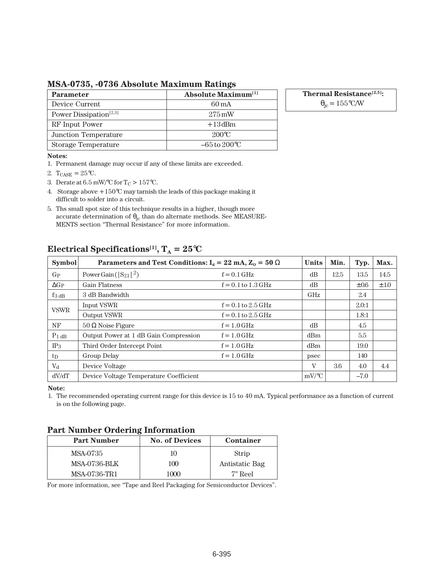**MSA-0735, -0736 Absolute Maximum Ratings**

| <b>Parameter</b>                   | Absolute Maximum <sup>[1]</sup> |  |  |
|------------------------------------|---------------------------------|--|--|
| Device Current                     | 60 mA                           |  |  |
| Power Dissipation <sup>[2,3]</sup> | $275 \,\mathrm{mW}$             |  |  |
| RF Input Power                     | $+13$ dBm                       |  |  |
| Junction Temperature               | $200^{\circ}C$                  |  |  |
| Storage Temperature                | $-65$ to $200^{\circ}$ C        |  |  |

**Thermal Resistance[2,5]:**

 $\theta_{\rm jc} = 155$ °C/W

#### **Notes:**

1. Permanent damage may occur if any of these limits are exceeded.

- 2.  $T_{CASE} = 25^{\circ}C$ .
- 3. Derate at 6.5 mW/°C for  $T_C > 157$ °C.
- 4. Storage above +150°C may tarnish the leads of this package making it difficult to solder into a circuit.
- 5. Ths small spot size of this technique results in a higher, though more accurate determination of  $\theta_{\rm jc}$  than do alternate methods. See MEASURE-MENTS section "Thermal Resistance" for more information.

| <b>Symbol</b> | Parameters and Test Conditions: $I_d = 22 \text{ mA}, Z_0 = 50 \Omega$ |                        | <b>Units</b> | Min. | Typ.      | Max. |
|---------------|------------------------------------------------------------------------|------------------------|--------------|------|-----------|------|
| $G_{P}$       | Power Gain ( $ S_{21} ^2$ )                                            | $f = 0.1$ GHz          | dB           | 12.5 | 13.5      | 14.5 |
| $\Delta G_P$  | <b>Gain Flatness</b>                                                   | $f = 0.1$ to $1.3$ GHz | dB           |      | $\pm 0.6$ | ±1.0 |
| $f_3$ dB      | 3 dB Bandwidth                                                         |                        | GHz          |      | 2.4       |      |
| <b>VSWR</b>   | Input VSWR                                                             | $f = 0.1$ to 2.5 GHz   |              |      | 2.0:1     |      |
|               | <b>Output VSWR</b>                                                     | $f = 0.1$ to 2.5 GHz   |              |      | 1.8:1     |      |
| NF            | $50 \Omega$ Noise Figure                                               | $f = 1.0$ GHz          | dB           |      | 4.5       |      |
| $P_1$ dB      | Output Power at 1 dB Gain Compression                                  | $f = 1.0$ GHz          | dBm          |      | 5.5       |      |
| $IP_3$        | Third Order Intercept Point                                            | $f = 1.0$ GHz          | dBm          |      | 19.0      |      |
| $t_{\rm D}$   | Group Delay                                                            | $f = 1.0$ GHz          | psec         |      | 140       |      |
| $V_{d}$       | Device Voltage                                                         |                        | V            | 3.6  | 4.0       | 4.4  |
| dV/dT         | Device Voltage Temperature Coefficient                                 |                        | $mV$ /°C     |      | $-7.0$    |      |

# **Electrical Specifications<sup>[1]</sup>,**  $T_A = 25^{\circ}C$

**Note:**

1. The recommended operating current range for this device is 15 to 40 mA. Typical performance as a function of current is on the following page.

## **Part Number Ordering Information**

| <b>Part Number</b> | <b>No. of Devices</b> | Container      |
|--------------------|-----------------------|----------------|
| MSA-0735           | 10                    | Strip          |
| MSA-0736-BLK       | 100                   | Antistatic Bag |
| MSA-0736-TR1       | 1000                  | 7" Reel        |

For more information, see "Tape and Reel Packaging for Semiconductor Devices".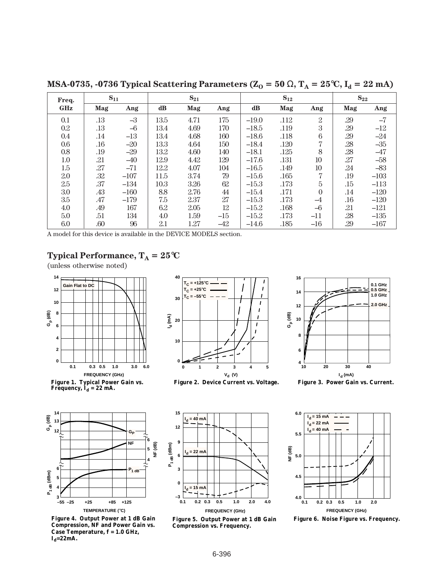**Freq. GHz Mag Ang dB Mag Ang dB Mag Ang Mag Ang** 0.1 .13  $-3$  13.5 4.71 175  $-19.0$  .112 2 29  $-7$ 0.2 .13 –6 13.4 4.69 170  $-18.5$  .119 3 .29  $-12$ 0.4 .14 –13 13.4 4.68 160 –18.6 .118 6 .29 –24 0.6 .16 –20 13.3 4.64 150 –18.4 .120 7 .28 –35 0.8 .19 –29 13.2 4.60 140 –18.1 .125 8 .28 –47 1.0 .21 –40 12.9 4.42 129 –17.6 .131 10 .27 –58 1.5 .27 –71 12.2 4.07 104 –16.5 .149 10 .24 –83 2.0 .32 –107 11.5 3.74 79 –15.6 .165 7 .19 –103 2.5 .37 –134 10.3 3.26 62 –15.3 .173 5 .15 –113  $3.0 \t\t 3.3 \t -160 \t 8.8 \t 2.76 \t 44 \t -15.4 \t .171 \t 0 \t .14 \t -120$ 3.5 .47 –179 7.5 2.37 27 –15.3 .173 –4 .16 –120 4.0  $.49$  167  $6.2$   $2.05$  12  $-15.2$   $.168$   $-6$   $.21$   $-121$ 5.0 .51 134 4.0 1.59 –15 –15.2 .173 –11 .28 –135 6.0 .60 96 2.1 1.27 –42 –14.6 .185 –16 .29 –167  $S_{11}$   $S_{21}$   $S_{12}$   $S_{12}$ 

**MSA-0735, -0736 Typical Scattering Parameters (** $Z_0 = 50 \Omega$ **,**  $T_A = 25^{\circ}C$ **,**  $I_d = 22 \text{ mA}$ **)** 

A model for this device is available in the DEVICE MODELS section.

## **Typical Performance,**  $T_A = 25^{\circ}C$

(unless otherwise noted)











**Figure 4. Output Power at 1 dB Gain Compression, NF and Power Gain vs. Case Temperature, f = 1.0 GHz,**   $I_d = 22mA$ .



**Figure 5. Output Power at 1 dB Gain Compression vs. Frequency.**



**Figure 6. Noise Figure vs. Frequency.**